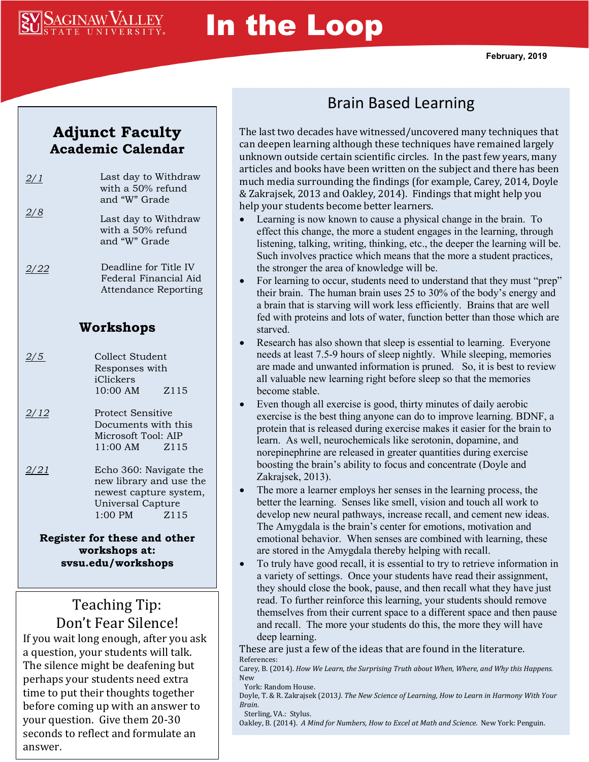

# In the Loop

**February, 2019**

#### **Adjunct Faculty Academic Calendar**

| 2/1 | Last day to Withdraw<br>with a 50% refund<br>and "W" Grade |
|-----|------------------------------------------------------------|
| 2/8 | Last day to Withdraw<br>with a 50% refund<br>and "W" Grade |
|     | Deadline for Title IV<br>Federal Financial Aid             |

Federal Financial Aid Attendance Reporting

#### **Workshops**

- 2/5 Collect Student Responses with iClickers 10:00 AM Z115
- *2/12* Protect Sensitive Documents with this Microsoft Tool: AIP 11:00 AM Z115
- *2/21* Echo 360: Navigate the new library and use the newest capture system, Universal Capture 1:00 PM Z115

**Register for these and other workshops at: svsu.edu/workshops**

#### Teaching Tip: Don't Fear Silence!

If you wait long enough, after you ask a question, your students will talk. The silence might be deafening but perhaps your students need extra time to put their thoughts together before coming up with an answer to your question. Give them 20-30 seconds to reflect and formulate an answer.

## Brain Based Learning

The last two decades have witnessed/uncovered many techniques that can deepen learning although these techniques have remained largely unknown outside certain scientific circles. In the past few years, many articles and books have been written on the subject and there has been much media surrounding the findings (for example, Carey, 2014, Doyle & Zakrajsek, 2013 and Oakley, 2014). Findings that might help you help your students become better learners.

- Learning is now known to cause a physical change in the brain. To effect this change, the more a student engages in the learning, through listening, talking, writing, thinking, etc., the deeper the learning will be. Such involves practice which means that the more a student practices, the stronger the area of knowledge will be.
- For learning to occur, students need to understand that they must "prep" their brain. The human brain uses 25 to 30% of the body's energy and a brain that is starving will work less efficiently. Brains that are well fed with proteins and lots of water, function better than those which are starved.
- Research has also shown that sleep is essential to learning. Everyone needs at least 7.5-9 hours of sleep nightly. While sleeping, memories are made and unwanted information is pruned. So, it is best to review all valuable new learning right before sleep so that the memories become stable.
- Even though all exercise is good, thirty minutes of daily aerobic exercise is the best thing anyone can do to improve learning. BDNF, a protein that is released during exercise makes it easier for the brain to learn. As well, neurochemicals like serotonin, dopamine, and norepinephrine are released in greater quantities during exercise boosting the brain's ability to focus and concentrate (Doyle and Zakrajsek, 2013).
- The more a learner employs her senses in the learning process, the better the learning. Senses like smell, vision and touch all work to develop new neural pathways, increase recall, and cement new ideas. The Amygdala is the brain's center for emotions, motivation and emotional behavior. When senses are combined with learning, these are stored in the Amygdala thereby helping with recall.
- To truly have good recall, it is essential to try to retrieve information in a variety of settings. Once your students have read their assignment, they should close the book, pause, and then recall what they have just read. To further reinforce this learning, your students should remove themselves from their current space to a different space and then pause and recall. The more your students do this, the more they will have deep learning.

These are just a few of the ideas that are found in the literature. References:

Carey, B. (2014). *How We Learn, the Surprising Truth about When, Where, and Why this Happens.* New

York: Random House.

Doyle, T. & R. Zakrajsek (2013*). The New Science of Learning, How to Learn in Harmony With Your Brain.*  Sterling, VA.: Stylus.

Oakley, B. (2014). *A Mind for Numbers, How to Excel at Math and Science.* New York: Penguin.